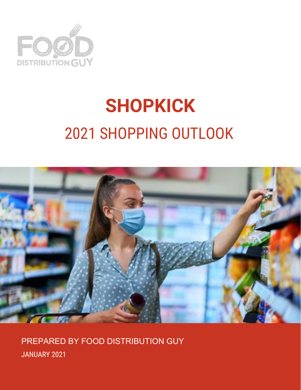

# **SHOPKICK** 2021 SHOPPING OUTLOOK



PREPARED BY FOOD DISTRIBUTION GUY JANUARY 2021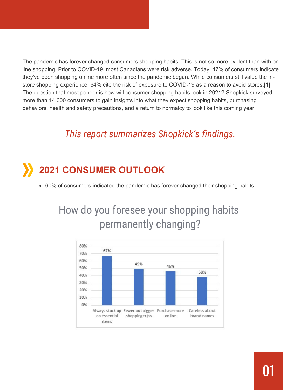The pandemic has forever changed consumers shopping habits. This is not so more evident than with online shopping. Prior to COVID-19, most Canadians were risk adverse. Today, 47% of consumers indicate they've been shopping online more often since the pandemic began. While consumers still value the instore shopping experience, 64% cite the risk of exposure to COVID-19 as a reason to avoid stores.[1] The question that most ponder is how will consumer shopping habits look in 2021? Shopkick surveyed more than 14,000 consumers to gain insights into what they expect shopping habits, purchasing behaviors, health and safety precautions, and a return to normalcy to look like this coming year.

#### *This report summarizes Shopkick's findings.*

# **2021 CONSUMER OUTLOOK**

60% of consumers indicated the pandemic has forever changed their shopping habits.

## How do you foresee your shopping habits permanently changing?

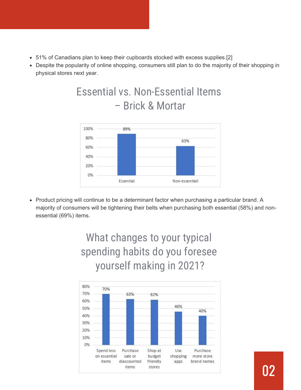- 51% of Canadians plan to keep their cupboards stocked with excess supplies.[2]
- Despite the popularity of online shopping, consumers still plan to do the majority of their shopping in physical stores next year.

### Essential vs. Non-Essential Items – Brick & Mortar



• Product pricing will continue to be a determinant factor when purchasing a particular brand. A majority of consumers will be tightening their belts when purchasing both essential (58%) and nonessential (69%) items.